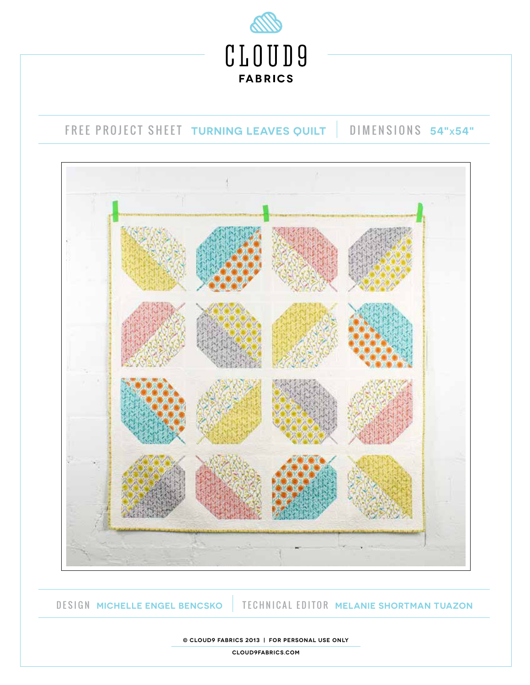

# FREE PROJECT SHEET **TURNING LEAVES QUILT** DIMENSIONS **54"X54"**



DESIGN **MICHELLE ENGEL BENCSKO** TECHNICAL EDITOR **MELANIE SHORTMAN TUAZON**

**© cloud9 fabrics 2013 | For personal use only**

**cloud9fabrics.com**